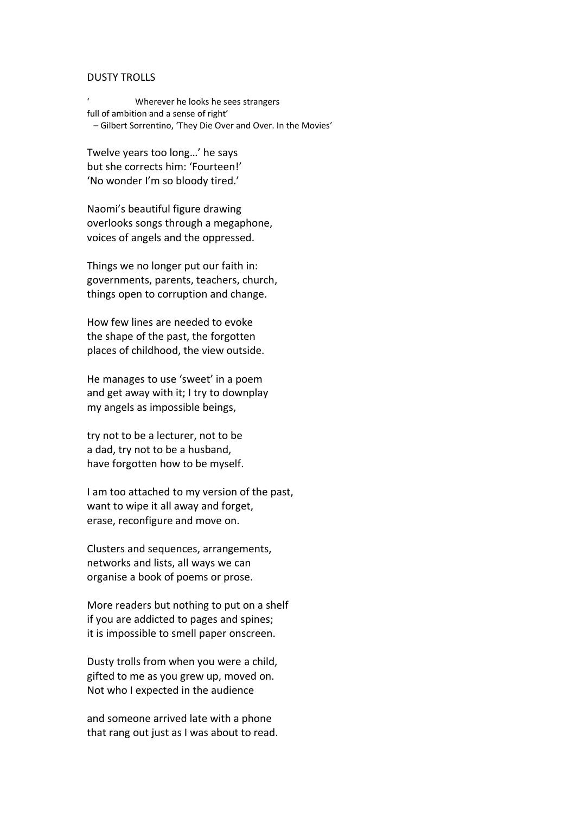## DUSTY TROLLS

' Wherever he looks he sees strangers full of ambition and a sense of right' – Gilbert Sorrentino, 'They Die Over and Over. In the Movies'

Twelve years too long…' he says but she corrects him: 'Fourteen!' 'No wonder I'm so bloody tired.'

Naomi's beautiful figure drawing overlooks songs through a megaphone, voices of angels and the oppressed.

Things we no longer put our faith in: governments, parents, teachers, church, things open to corruption and change.

How few lines are needed to evoke the shape of the past, the forgotten places of childhood, the view outside.

He manages to use 'sweet' in a poem and get away with it; I try to downplay my angels as impossible beings,

try not to be a lecturer, not to be a dad, try not to be a husband, have forgotten how to be myself.

I am too attached to my version of the past, want to wipe it all away and forget, erase, reconfigure and move on.

Clusters and sequences, arrangements, networks and lists, all ways we can organise a book of poems or prose.

More readers but nothing to put on a shelf if you are addicted to pages and spines; it is impossible to smell paper onscreen.

Dusty trolls from when you were a child, gifted to me as you grew up, moved on. Not who I expected in the audience

and someone arrived late with a phone that rang out just as I was about to read.